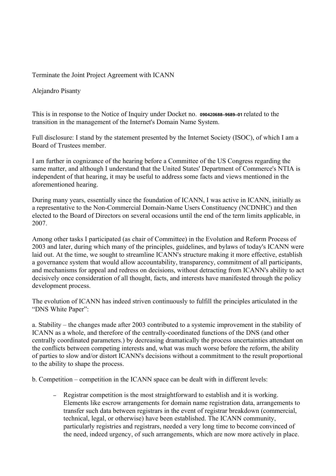Terminate the Joint Project Agreement with ICANN

Alejandro Pisanty

This is in response to the Notice of Inquiry under Docket no. **090420688–9689–01** related to the transition in the management of the Internet's Domain Name System.

Full disclosure: I stand by the statement presented by the Internet Society (ISOC), of which I am a Board of Trustees member.

I am further in cognizance of the hearing before a Committee of the US Congress regarding the same matter, and although I understand that the United States' Department of Commerce's NTIA is independent of that hearing, it may be useful to address some facts and views mentioned in the aforementioned hearing.

During many years, essentially since the foundation of ICANN, I was active in ICANN, initially as a representative to the Non-Commercial Domain-Name Users Constituency (NCDNHC) and then elected to the Board of Directors on several occasions until the end of the term limits applicable, in 2007.

Among other tasks I participated (as chair of Committee) in the Evolution and Reform Process of 2003 and later, during which many of the principles, guidelines, and bylaws of today's ICANN were laid out. At the time, we sought to streamline ICANN's structure making it more effective, establish a governance system that would allow accountability, transparency, commitment of all participants, and mechanisms for appeal and redress on decisions, without detracting from ICANN's ability to act decisively once consideration of all thought, facts, and interests have manifested through the policy development process.

The evolution of ICANN has indeed striven continuously to fulfill the principles articulated in the "DNS White Paper":

a. Stability – the changes made after 2003 contributed to a systemic improvement in the stability of ICANN as a whole, and therefore of the centrally-coordinated functions of the DNS (and other centrally coordinated parameters.) by decreasing dramatically the process uncertainties attendant on the conflicts between competing interests and, what was much worse before the reform, the ability of parties to slow and/or distort ICANN's decisions without a commitment to the result proportional to the ability to shape the process.

b. Competition – competition in the ICANN space can be dealt with in different levels:

– Registrar competition is the most straightforward to establish and it is working. Elements like escrow arrangements for domain name registration data, arrangements to transfer such data between registrars in the event of registrar breakdown (commercial, technical, legal, or otherwise) have been established. The ICANN community, particularly registries and registrars, needed a very long time to become convinced of the need, indeed urgency, of such arrangements, which are now more actively in place.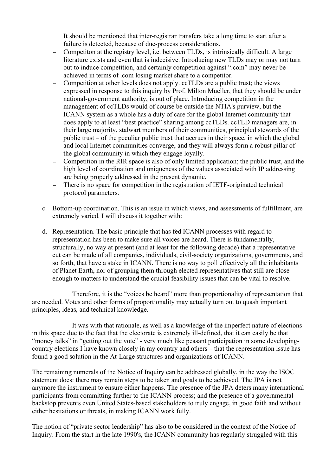It should be mentioned that inter-registrar transfers take a long time to start after a failure is detected, because of due-process considerations.

- Competiton at the registry level, i.e. between TLDs, is intrinsically difficult. A large literature exists and even that is indecisive. Introducing new TLDs may or may not turn out to induce competition, and certainly competition against ".com" may never be achieved in terms of .com losing market share to a competitor.
- Competition at other levels does not apply. ccTLDs are a public trust; the views expressed in response to this inquiry by Prof. Milton Mueller, that they should be under national-government authority, is out of place. Introducing competition in the management of ccTLDs would of course be outside the NTIA's purview, but the ICANN system as a whole has a duty of care for the global Internet community that does apply to at least "best practice" sharing among ccTLDs. ccTLD managers are, in their large majority, stalwart members of their communities, principled stewards of the public trust – of the peculiar public trust that accrues in their space, in which the global and local Internet communities converge, and they will always form a robust pillar of the global community in which they engage loyally.
- Competition in the RIR space is also of only limited application; the public trust, and the high level of coordination and uniqueness of the values associated with IP addressing are being properly addressed in the present dynamic.
- There is no space for competition in the registration of IETF-originated technical protocol parameters.
- c. Bottom-up coordination. This is an issue in which views, and assessments of fulfillment, are extremely varied. I will discuss it together with:
- d. Representation. The basic principle that has fed ICANN processes with regard to representation has been to make sure all voices are heard. There is fundamentally, structurally, no way at present (and at least for the following decade) that a representative cut can be made of all companies, individuals, civil-society organizations, governments, and so forth, that have a stake in ICANN. There is no way to poll effectively all the inhabitants of Planet Earth, nor of grouping them through elected representatives that still are close enough to matters to understand the crucial feasibility issues that can be vital to resolve.

Therefore, it is the "voices be heard" more than proportionality of representation that are needed. Votes and other forms of proportionality may actually turn out to quash important principles, ideas, and technical knowledge.

It was with that rationale, as well as a knowledge of the imperfect nature of elections in this space due to the fact that the electorate is extremely ill-defined, that it can easily be that "money talks" in "getting out the vote" - very much like peasant participation in some developingcountry elections I have known closely in my country and others – that the representation issue has found a good solution in the At-Large structures and organizations of ICANN.

The remaining numerals of the Notice of Inquiry can be addressed globally, in the way the ISOC statement does: there may remain steps to be taken and goals to be achieved. The JPA is not anymore the instrument to ensure either happens. The presence of the JPA deters many international participants from committing further to the ICANN process; and the presence of a governmental backstop prevents even United States-based stakeholders to truly engage, in good faith and without either hesitations or threats, in making ICANN work fully.

The notion of "private sector leadership" has also to be considered in the context of the Notice of Inquiry. From the start in the late 1990's, the ICANN community has regularly struggled with this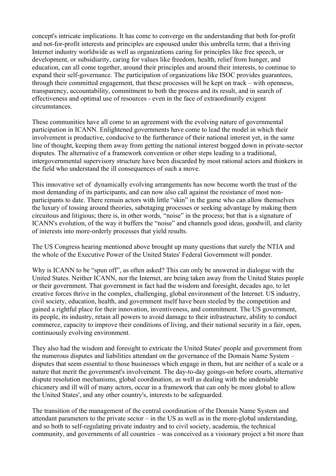concept's intricate implications. It has come to converge on the understanding that both for-profit and not-for-profit interests and principles are espoused under this umbrella term; that a thriving Internet industry worldwide as well as organizations caring for principles like free speech, or development, or subsidiarity, caring for values like freedom, health, relief from hunger, and education, can all come together, around their principles and around their interests, to continue to expand their self-governance. The participation of organizations like ISOC provides guarantees, through their committed engagement, that these processes will be kept on track – with openness, transparency, accountability, commitment to both the process and its result, and in search of effectiveness and optimal use of resources - even in the face of extraordinarily exigent circumstances.

These communities have all come to an agreement with the evolving nature of governmental participation in ICANN. Enlightened governments have come to lead the model in which their involvement is productive, conducive to the furtherance of their national interest yet, in the same line of thought, keeping them away from getting the national interest bogged down in private-sector disputes. The alternative of a framework convention or other steps leading to a traditional, intergovernmental supervisory structure have been discarded by most rational actors and thinkers in the field who understand the ill consequences of such a move.

This innovative set of dynamically evolving arrangements has now become worth the trust of the most demanding of its participants, and can now also call against the resistance of most nonparticipants to date. There remain actors with little "skin" in the game who can allow themselves the luxury of tossing around theories, sabotaging processes or seeking advantage by making them circuitous and litigious; there is, in other words, "noise" in the process; but that is a signature of ICANN's evolution, of the way it buffers the "noise" and channels good ideas, goodwill, and clarity of interests into more-orderly processes that yield results.

The US Congress hearing mentioned above brought up many questions that surely the NTIA and the whole of the Executive Power of the United States' Federal Government will ponder.

Why is ICANN to be "spun off", as often asked? This can only be answered in dialogue with the United States. Neither ICANN, nor the Internet, are being taken away from the United States people or their government. That government in fact had the wisdom and foresight, decades ago, to let creative forces thrive in the complex, challenging, global environment of the Internet. US industry, civil society, education, health, and government itself have been steeled by the competition and gained a rightful place for their innovation, inventiveness, and commitment. The US government, its people, its industry, retain all powers to avoid damage to their infrastructure, ability to conduct commerce, capacity to improve their conditions of living, and their national security in a fair, open, continuously evolving environment.

They also had the wisdom and foresight to extricate the United States' people and government from the numerous disputes and liabilities attendant on the governance of the Domain Name System – disputes that seem essential to those businesses which engage in them, but are neither of a scale or a nature that merit the government's involvement. The day-to-day goings-on before courts, alternative dispute resolution mechanisms, global coordination, as well as dealing with the undeniable chicanery and ill will of many actors, occur in a framework that can only be more global to allow the United States', and any other country's, interests to be safeguarded.

The transition of the management of the central coordination of the Domain Name System and attendant parameters to the private sector – in the US as well as in the more-global understanding, and so both to self-regulating private industry and to civil society, academia, the technical community, and governments of all countries – was conceived as a visionary project a bit more than